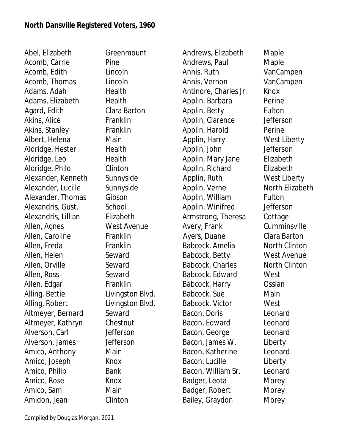Abel, Elizabeth Greenmount Acomb, Carrie Pine Acomb, Edith Lincoln Acomb, Thomas Lincoln Adams, Adah **Health** Adams, Elizabeth Health Agard, Edith Clara Barton Akins, Alice Franklin Akins, Stanley Franklin Albert, Helena **Main** Aldridge, Hester Health Aldridge, Leo Health Aldridge, Philo Clinton Alexander, Kenneth Sunnyside Alexander, Lucille Sunnyside Alexander, Thomas Gibson Alexandris, Gust. School Alexandris, Lillian Elizabeth Allen, Agnes West Avenue Allen, Caroline Franklin Allen, Freda Franklin Allen, Helen Seward Allen, Orville Seward Allen, Ross Seward Allen. Edgar Franklin Alling, Bettie Livingston Blvd. Alling, Robert Livingston Blvd. Altmeyer, Bernard Seward Altmeyer, Kathryn Chestnut Alverson, Carl Jefferson Alverson, James Jefferson Amico, Anthony Main Amico, Joseph Knox Amico, Philip Bank Amico, Rose Knox Amico, Sam Main Amidon, Jean Clinton

Andrews, Elizabeth Maple Andrews, Paul Maple Annis, Ruth VanCampen Annis, Vernon VanCampen Antinore, Charles Jr. Knox Applin, Barbara Perine Applin, Betty **Fulton** Applin, Clarence Jefferson Applin, Harold Perine Applin, Harry West Liberty Applin, John Jefferson Applin, Mary Jane Elizabeth Applin, Richard Elizabeth Applin, Ruth West Liberty Applin, Verne North Elizabeth Applin, William Fulton Applin, Winifred Jefferson Armstrong, Theresa Cottage Avery, Frank Cumminsville Ayers, Duane Clara Barton Babcock, Amelia North Clinton Babcock, Betty West Avenue Babcock, Charles North Clinton Babcock, Edward West Babcock, Harry Ossian Babcock, Sue **Main** Babcock, Victor West Bacon, Doris Leonard Bacon, Edward Leonard Bacon, George Leonard Bacon, James W. Liberty Bacon, Katherine Leonard Bacon, Lucille Liberty Bacon, William Sr. Leonard Badger, Leota **Morey** Badger, Robert Morey Bailey, Graydon Morey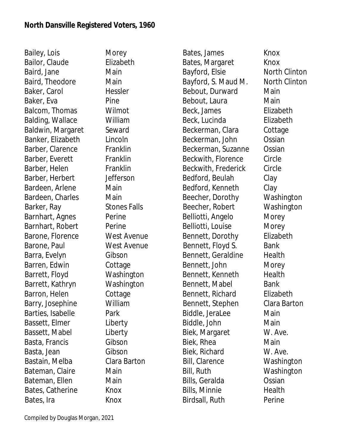Bailey, Lois Morey Bailor, Claude **Elizabeth** Baird, Jane Main Baird, Theodore Main Baker, Carol **Hessler** Baker, Eva Pine Balcom, Thomas Wilmot Balding, Wallace William Baldwin, Margaret Seward Banker, Elizabeth Lincoln Barber, Clarence Franklin Barber, Everett Franklin Barber, Helen Franklin Barber, Herbert Jefferson Bardeen, Arlene Main Bardeen, Charles Main Barker, Ray Stones Falls Barnhart, Agnes Perine Barnhart, Robert Perine Barone, Florence West Avenue Barone, Paul West Avenue Barra, Evelyn Gibson Barren, Edwin Cottage Barrett, Floyd Washington Barrett, Kathryn Washington Barron, Helen Cottage Barry, Josephine William Barties, Isabelle Park Bassett, Elmer Liberty Bassett, Mabel Liberty Basta, Francis Gibson Basta, Jean Gibson Bastain, Melba Clara Barton Bateman, Claire **Main** Bateman, Ellen Main Bates, Catherine Knox Bates, Ira **Knox** 

Bates, James Knox Bates, Margaret Knox Bayford, Elsie North Clinton Bayford, S. Maud M. North Clinton Bebout, Durward Main Bebout, Laura **Main** Beck, James Elizabeth Beck, Lucinda Elizabeth Beckerman, Clara Cottage Beckerman, John Ossian Beckerman, Suzanne Ossian Beckwith, Florence Circle Beckwith, Frederick Circle Bedford, Beulah Clay Bedford, Kenneth Clay Beecher, Dorothy Washington Beecher, Robert Washington Belliotti, Angelo Morey Belliotti, Louise Morey Bennett, Dorothy Elizabeth Bennett, Floyd S. Bank Bennett, Geraldine Health Bennett, John Morey Bennett, Kenneth Health Bennett, Mabel Bank Bennett, Richard Elizabeth Bennett, Stephen Clara Barton Biddle, JeraLee Main Biddle, John Main Biek, Margaret W. Ave. Biek, Rhea Main Biek, Richard W. Ave. Bill, Clarence Washington Bill, Ruth Washington Bills, Geralda Ossian Bills, Minnie and Health Birdsall, Ruth Perine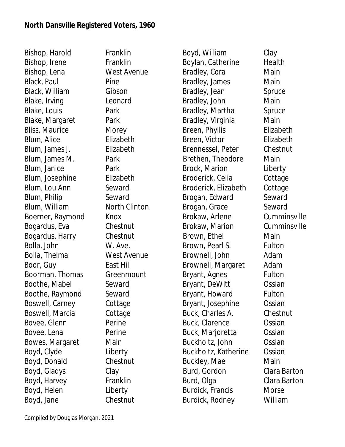Bishop, Harold Franklin Bishop, Irene Franklin Bishop, Lena West Avenue Black, Paul Pine Black, William Gibson Blake, Irving Leonard Blake, Louis **Park** Blake, Margaret Park Bliss, Maurice Morey Blum, Alice Elizabeth Blum, James J. Elizabeth Blum, James M. Park Blum, Janice Park Blum, Josephine Elizabeth Blum, Lou Ann Seward Blum, Philip Seward Blum, William North Clinton Boerner, Raymond Knox Bogardus, Eva Chestnut Bogardus, Harry Chestnut Bolla, John W. Ave. Bolla, Thelma West Avenue Boor, Guy **East Hill** Boorman, Thomas Greenmount Boothe, Mabel Seward Boothe, Raymond Seward Boswell, Carney Cottage Boswell, Marcia Cottage Bovee, Glenn Perine Bovee, Lena Perine Bowes, Margaret Main Boyd, Clyde Liberty Boyd, Donald Chestnut Boyd, Gladys Clay Boyd, Harvey Franklin Boyd, Helen Liberty Boyd, Jane Chestnut

Boyd, William Clay Boylan, Catherine Health Bradley, Cora Main Bradley, James Main Bradley, Jean Spruce Bradley, John Main Bradley, Martha Spruce Bradley, Virginia Main Breen, Phyllis Elizabeth Breen, Victor Elizabeth Brennessel, Peter Chestnut Brethen, Theodore Main Brock, Marion Liberty Broderick, Celia Cottage Broderick, Elizabeth Cottage Brogan, Edward Seward Brogan, Grace Seward Brokaw, Arlene Cumminsville Brokaw, Marion Cumminsville Brown, Ethel Main Brown, Pearl S. Fulton Brownell, John Adam Brownell, Margaret Adam Bryant, Agnes Fulton Bryant, DeWitt Ossian Bryant, Howard Fulton Bryant, Josephine Ossian Buck, Charles A. Chestnut Buck, Clarence Ossian Buck, Marjoretta Ossian Buckholtz, John Ossian Buckholtz, Katherine Ossian Buckley, Mae Main Burd, Gordon Clara Barton Burd, Olga Clara Barton Burdick, Francis Morse Burdick, Rodney William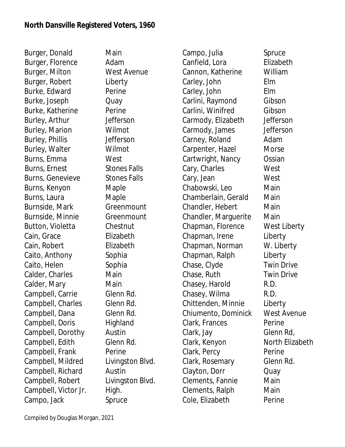Burger, Donald Main Burger, Florence Adam Burger, Milton West Avenue Burger, Robert Liberty Burke, Edward Perine Burke, Joseph Quay Burke, Katherine Perine Burley, Arthur Jefferson Burley, Marion Wilmot Burley, Phillis **Jefferson** Burley, Walter Wilmot Burns, Emma West Burns, Ernest Stones Falls Burns, Genevieve Stones Falls Burns, Kenyon Maple Burns, Laura Maple Burnside, Mark Greenmount Burnside, Minnie Greenmount Button, Violetta Chestnut Cain, Grace Elizabeth Cain, Robert Elizabeth Caito, Anthony Sophia Caito, Helen Sophia Calder, Charles Main Calder, Mary Main Campbell, Carrie Glenn Rd. Campbell, Charles Glenn Rd. Campbell, Dana Glenn Rd. Campbell, Doris Highland Campbell, Dorothy Austin Campbell, Edith Glenn Rd. Campbell, Frank Perine Campbell, Mildred Livingston Blvd. Campbell, Richard Austin Campbell, Robert Livingston Blvd. Campbell, Victor Jr. High. Campo, Jack Spruce

Campo, Julia Spruce Canfield, Lora **Elizabeth** Cannon, Katherine William Carley, John Elm Carley, John Elm Carlini, Raymond Gibson Carlini, Winifred Gibson Carmody, Elizabeth Jefferson Carmody, James Jefferson Carney, Roland Adam Carpenter, Hazel Morse Cartwright, Nancy Ossian Cary, Charles West Cary, Jean West Chabowski, Leo Main Chamberlain, Gerald Main Chandler, Hebert Main Chandler, Marguerite Main Chapman, Florence West Liberty Chapman, Irene Liberty Chapman, Norman W. Liberty Chapman, Ralph Liberty Chase, Clyde Twin Drive Chase, Ruth Twin Drive Chasey, Harold R.D. Chasey, Wilma R.D. Chittenden, Minnie Liberty Chiumento, Dominick West Avenue Clark, Frances Perine Clark, Jay Glenn Rd, Clark, Kenyon North Elizabeth Clark, Percy Perine Clark, Rosemary Glenn Rd. Clayton, Dorr Quay Clements, Fannie Main Clements, Ralph Main Cole, Elizabeth Perine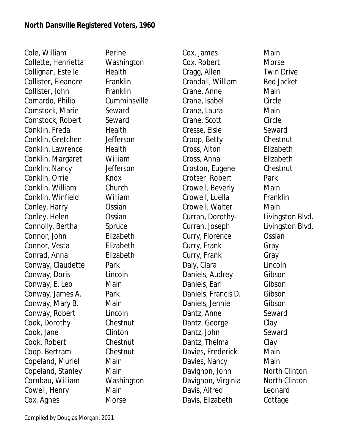Cole, William Perine Collette, Henrietta Washington Collignan, Estelle Health Collister, Eleanore Franklin Collister, John Franklin Comardo, Philip Cumminsville Comstock, Marie Seward Comstock, Robert Seward Conklin, Freda Health Conklin, Gretchen Jefferson Conklin, Lawrence Health Conklin, Margaret William Conklin, Nancy Jefferson Conklin, Orrie Knox Conklin, William Church Conklin, Winfield William Conley, Harry **Constan** Conley, Helen **Ossian** Connolly, Bertha Spruce Connor, John Elizabeth Connor, Vesta Elizabeth Conrad, Anna Elizabeth Conway, Claudette Park Conway, Doris Lincoln Conway, E. Leo Main Conway, James A. Park Conway, Mary B. Main Conway, Robert Lincoln Cook, Dorothy Chestnut Cook, Jane Clinton Cook, Robert Chestnut Coop, Bertram Chestnut Copeland, Muriel Main Copeland, Stanley Main Cornbau, William Washington Cowell, Henry Main Cox, Agnes Morse

Cox, James Main Cox, Robert Morse Cragg, Allen Twin Drive Crandall, William Red Jacket Crane, Anne Main Crane, Isabel Circle Crane, Laura **Main** Crane, Scott Circle Cresse, Elsie Seward Croop, Betty Chestnut Cross, Alton Elizabeth Cross, Anna Elizabeth Croston, Eugene Chestnut Crotser, Robert Park Crowell, Beverly Main Crowell, Luella Franklin Crowell, Walter Main Curran, Dorothy- Livingston Blvd. Curran, Joseph Livingston Blvd. Curry, Florence Ossian Curry, Frank Gray Curry, Frank Gray Daly, Clara **Lincoln** Daniels, Audrey Gibson Daniels, Earl Gibson Daniels, Francis D. Gibson Daniels, Jennie Gibson Dantz, Anne Seward Dantz, George Clay Dantz, John Seward Dantz, Thelma Clay Davies, Frederick Main Davies, Nancy Main Davignon, John North Clinton Davignon, Virginia North Clinton Davis, Alfred Leonard Davis, Elizabeth Cottage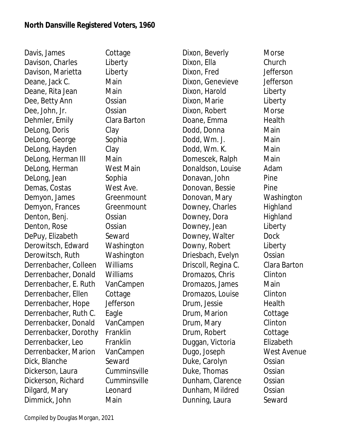Davis, James Cottage Davison, Charles Liberty Davison, Marietta Liberty Deane, Jack C. Main Deane, Rita Jean Main Dee, Betty Ann **Ossian** Dee, John, Jr. Ossian Dehmler, Emily Clara Barton DeLong, Doris Clay DeLong, George Sophia DeLong, Hayden Clay DeLong, Herman III Main DeLong, Herman West Main DeLong, Jean Sophia Demas, Costas West Ave. Demyon, James Greenmount Demyon, Frances Greenmount Denton, Benj. Ossian Denton, Rose **Ossian** DePuy, Elizabeth Seward Derowitsch, Edward Washington Derowitsch, Ruth Washington Derrenbacher, Colleen Williams Derrenbacher, Donald Williams Derrenbacher, E. Ruth VanCampen Derrenbacher, Ellen Cottage Derrenbacher, Hope Jefferson Derrenbacher, Ruth C. Eagle Derrenbacker, Donald VanCampen Derrenbacker, Dorothy Franklin Derrenbacker, Leo Franklin Derrenbacker, Marion VanCampen Dick, Blanche Seward Dickerson, Laura Cumminsville Dickerson, Richard Cumminsville Dilgard, Mary Leonard Dimmick, John Main

Dixon, Beverly **Morse** Dixon, Ella Church Dixon, Fred Jefferson Dixon, Genevieve Jefferson Dixon, Harold Liberty Dixon, Marie **Liberty** Dixon, Robert Morse Doane, Emma Health Dodd, Donna Main Dodd, Wm. J. Main Dodd, Wm. K. Main Domescek, Ralph Main Donaldson, Louise Adam Donavan, John Pine Donovan, Bessie Pine Donovan, Mary Washington Downey, Charles Highland Downey, Dora Highland Downey, Jean Liberty Downey, Walter Dock Downy, Robert Liberty Driesbach, Evelyn Ossian Driscoll, Regina C. Clara Barton Dromazos, Chris Clinton Dromazos, James Main Dromazos, Louise Clinton Drum, Jessie **Health** Drum, Marion Cottage Drum, Mary Clinton Drum, Robert Cottage Duggan, Victoria Elizabeth Dugo, Joseph West Avenue Duke, Carolyn Ossian Duke, Thomas **Ossian** Dunham, Clarence Ossian Dunham, Mildred **Cassian** Dunning, Laura Seward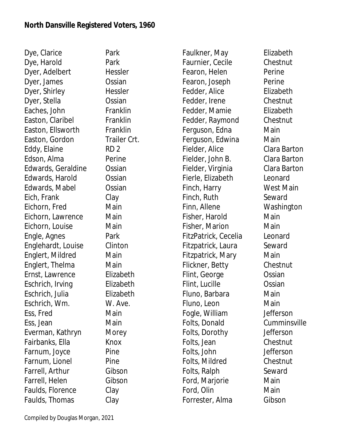Dye, Clarice Park Dye, Harold Park Dyer, Adelbert Hessler Dyer, James **Ossian** Dyer, Shirley Hessler Dyer, Stella **Ossian** Eaches, John Franklin Easton, Claribel Franklin Easton, Ellsworth Franklin Easton, Gordon Trailer Crt. Eddy, Elaine RD 2 Edson, Alma Perine Edwards, Geraldine Ossian Edwards, Harold Ossian Edwards, Mabel Ossian Eich, Frank Clay Eichorn, Fred Main Eichorn, Lawrence Main Eichorn, Louise Main Engle, Agnes Park Englehardt, Louise Clinton Englert, Mildred Main Englert, Thelma Main Ernst, Lawrence Elizabeth Eschrich, Irving Elizabeth Eschrich, Julia Elizabeth Eschrich, Wm. W. Ave. Ess, Fred Main Ess, Jean Main Everman, Kathryn Morey Fairbanks, Ella Knox Farnum, Joyce Pine Farnum, Lionel Pine Farrell, Arthur Gibson Farrell, Helen Gibson Faulds, Florence Clay Faulds, Thomas Clay

Faulkner, May Elizabeth Faurnier, Cecile Chestnut Fearon, Helen Perine Fearon, Joseph Perine Fedder, Alice **Elizabeth** Fedder, Irene Chestnut Fedder, Mamie **Elizabeth** Fedder, Raymond Chestnut Ferguson, Edna Main Ferguson, Edwina Main Fielder, Alice Clara Barton Fielder, John B. Clara Barton Fielder, Virginia Clara Barton Fierle, Elizabeth Leonard Finch, Harry West Main Finch, Ruth Seward Finn, Allene Washington Fisher, Harold Main Fisher, Marion **Main** FitzPatrick, Cecelia Leonard Fitzpatrick, Laura Seward Fitzpatrick, Mary Main Flickner, Betty Chestnut Flint, George **Constanding Constanding Constanding Constanding Constanding Constanding Constanding Constanding Constanding Constanding Constanding Constanding Constanding Constanding Constanding Constanding Constanding Con** Flint, Lucille Ossian Fluno, Barbara **Main** Fluno, Leon Main Fogle, William Jefferson Folts, Donald Cumminsville Folts, Dorothy Jefferson Folts, Jean Chestnut Folts, John Jefferson Folts, Mildred Chestnut Folts, Ralph Seward Ford, Marjorie Main Ford, Olin Main Forrester, Alma Gibson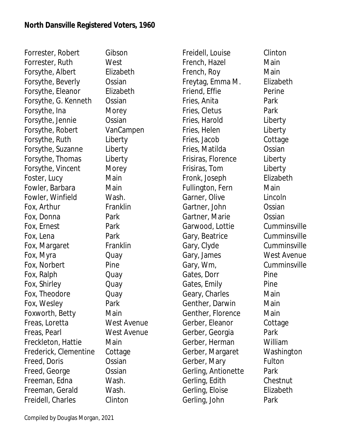Forrester, Robert Gibson Forrester, Ruth West Forsythe, Albert Elizabeth Forsythe, Beverly **Constanding** Forsythe, Eleanor Elizabeth Forsythe, G. Kenneth Ossian Forsythe, Ina **Morey** Forsythe, Jennie Ossian Forsythe, Robert VanCampen Forsythe, Ruth Liberty Forsythe, Suzanne Liberty Forsythe, Thomas Liberty Forsythe, Vincent Morey Foster, Lucy Main Fowler, Barbara **Main** Fowler, Winfield Wash. Fox, Arthur Franklin Fox, Donna Park Fox, Ernest Park Fox, Lena Park Fox, Margaret Franklin Fox, Myra Quay Fox, Norbert Pine Fox, Ralph Quay Fox, Shirley Cuay Fox, Theodore Quay Fox, Wesley **Park** Foxworth, Betty Main Freas, Loretta West Avenue Freas, Pearl West Avenue Freckleton, Hattie Main Frederick, Clementine Cottage Freed, Doris **Ossian** Freed, George **Cassan** Freeman, Edna Wash. Freeman, Gerald Wash. Freidell, Charles Clinton

Freidell, Louise Clinton French, Hazel Main French, Roy Main Freytag, Emma M. Elizabeth Friend, Effie **Perine** Fries, Anita Park Fries, Cletus **Park** Fries, Harold Liberty Fries, Helen Liberty Fries, Jacob Cottage Fries, Matilda Ossian Frisiras, Florence Liberty Frisiras, Tom Liberty Fronk, Joseph Elizabeth Fullington, Fern Main Garner, Olive Lincoln Gartner, John **Ossian** Gartner, Marie Ossian Garwood, Lottie Cumminsville Gary, Beatrice Cumminsville Gary, Clyde Cumminsville Gary, James West Avenue Gary, Wm, Cumminsville Gates, Dorr Pine Gates, Emily Pine Geary, Charles **Main** Genther, Darwin Main Genther, Florence Main Gerber, Eleanor Cottage Gerber, Georgia Park Gerber, Herman William Gerber, Margaret Washington Gerber, Mary Fulton Gerling, Antionette Park Gerling, Edith Chestnut Gerling, Eloise Elizabeth Gerling, John Park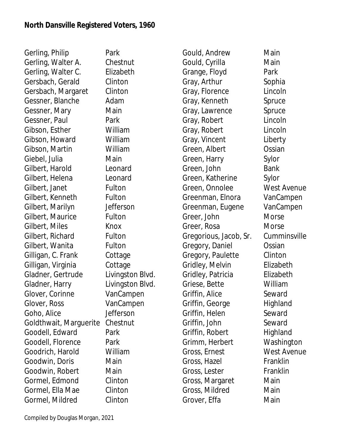Gerling, Philip Park Gerling, Walter A. Chestnut Gerling, Walter C. Elizabeth Gersbach, Gerald Clinton Gersbach, Margaret Clinton Gessner, Blanche Adam Gessner, Mary Main Gessner, Paul Park Gibson, Esther William Gibson, Howard William Gibson, Martin William Giebel, Julia Main Gilbert, Harold Leonard Gilbert, Helena Leonard Gilbert, Janet Fulton Gilbert, Kenneth Fulton Gilbert, Marilyn Jefferson Gilbert, Maurice Fulton Gilbert, Miles Knox Gilbert, Richard Fulton Gilbert, Wanita Fulton Gilligan, C. Frank Cottage Gilligan, Virginia Cottage Gladner, Gertrude Livingston Blvd. Gladner, Harry Livingston Blvd. Glover, Corinne VanCampen Glover, Ross VanCampen Goho, Alice Jefferson Goldthwait, Marguerite Chestnut Goodell, Edward Park Goodell, Florence Park Goodrich, Harold William Goodwin, Doris Main Goodwin, Robert Main Gormel, Edmond Clinton Gormel, Ella Mae Clinton Gormel, Mildred Clinton

Gould, Andrew Main Gould, Cyrilla Main Grange, Floyd Park Gray, Arthur Sophia Gray, Florence Lincoln Gray, Kenneth Spruce Gray, Lawrence Spruce Gray, Robert Lincoln Gray, Robert Lincoln Gray, Vincent Liberty Green, Albert **Canada Constan** Green, Harry Sylor Green, John Bank Green, Katherine Sylor Green, Onnolee West Avenue Greenman, Elnora VanCampen Greenman, Eugene VanCampen Greer, John Morse Greer, Rosa Morse Gregorious, Jacob, Sr. Cumminsville Gregory, Daniel Ossian Gregory, Paulette Clinton Gridley, Melvin Elizabeth Gridley, Patricia Elizabeth Griese, Bette William Griffin, Alice Seward Griffin, George Highland Griffin, Helen Seward Griffin, John Seward Griffin, Robert Highland Grimm, Herbert Washington Gross, Ernest West Avenue Gross, Hazel Franklin Gross, Lester Franklin Gross, Margaret Main Gross, Mildred Main Grover, Effa Main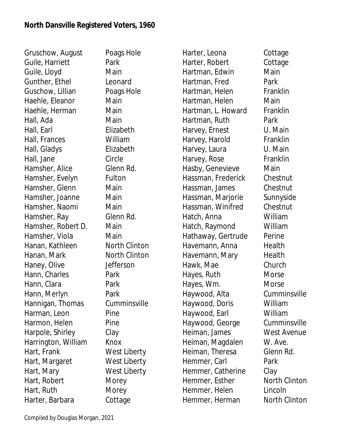Gruschow, August Poags Hole Guile, Harriett Park Guile, Lloyd Main Gunther, Ethel Leonard Guschow, Lillian Poags Hole Haehle, Eleanor Main Haehle, Herman Main Hall, Ada Main Hall, Earl Elizabeth Hall, Frances William Hall, Gladys Elizabeth Hall, Jane Circle Hamsher, Alice Glenn Rd. Hamsher, Evelyn Fulton Hamsher, Glenn Main Hamsher, Joanne Main Hamsher, Naomi Main Hamsher, Ray Glenn Rd. Hamsher, Robert D. Main Hamsher, Viola Main Hanan, Kathleen North Clinton Hanan, Mark North Clinton Haney, Olive Jefferson Hann, Charles Park Hann, Clara **Park** Hann, Merlyn **Park** Hannigan, Thomas Cumminsville Harman, Leon Pine Harmon, Helen Pine Harpole, Shirley Clay Harrington, William Knox Hart, Frank West Liberty Hart, Margaret West Liberty Hart, Mary West Liberty Hart, Robert Morey Hart, Ruth Morey Harter, Barbara Cottage

Harter, Leona Cottage Harter, Robert Cottage Hartman, Edwin Main Hartman, Fred Park Hartman, Helen Franklin Hartman, Helen Main Hartman, L. Howard Franklin Hartman, Ruth Park Harvey, Ernest U. Main Harvey, Harold Franklin Harvey, Laura U. Main Harvey, Rose Franklin Hasby, Genevieve Main Hassman, Frederick Chestnut Hassman, James Chestnut Hassman, Marjorie Sunnyside Hassman, Winifred Chestnut Hatch, Anna William Hatch, Raymond William Hathaway, Gertrude Perine Havemann, Anna Health Havemann, Mary Health Hawk, Mae Church Hayes, Ruth Morse Hayes, Wm. Morse Haywood, Alta Cumminsville Haywood, Doris William Haywood, Earl William Haywood, George Cumminsville Heiman, James West Avenue Heiman, Magdalen W. Ave. Heiman, Theresa Glenn Rd. Hemmer, Carl **Park** Hemmer, Catherine Clay Hemmer, Esther North Clinton Hemmer, Helen Lincoln Hemmer, Herman North Clinton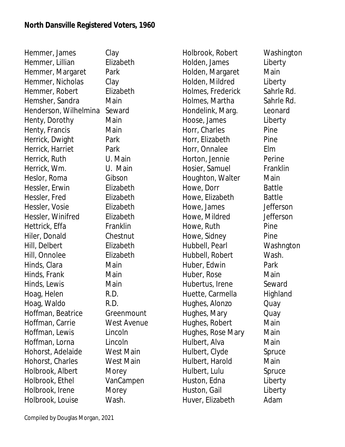| Hemmer, James         | Clay      |
|-----------------------|-----------|
| Hemmer, Lillian       | Elizabeth |
| Hemmer, Margaret      | Park      |
| Hemmer, Nicholas      | Clay      |
| Hemmer, Robert        | Elizabeth |
| Hemsher, Sandra       | Main      |
| Henderson, Wilhelmina | Seward    |
| Henty, Dorothy        | Main      |
| Henty, Francis        | Main      |
| Herrick, Dwight       | Park      |
| Herrick, Harriet      | Park      |
| Herrick, Ruth         | U. Main   |
| Herrick, Wm.          | U. Main   |
| Heslor, Roma          | Gibson    |
| Hessler, Erwin        | Elizabeth |
| Hessler, Fred         | Elizabeth |
| Hessler, Vosie        | Elizabeth |
| Hessler, Winifred     | Elizabeth |
| Hettrick, Effa        | Franklin  |
| Hiler, Donald         | Chestnu   |
| Hill, Delbert         | Elizabeth |
| Hill, Onnolee         | Elizabeth |
| Hinds, Clara          | Main      |
| Hinds, Frank          | Main      |
| Hinds, Lewis          | Main      |
| Hoag, Helen           | R.D.      |
| Hoag, Waldo           | R.D.      |
| Hoffman, Beatrice     | Greenm    |
| Hoffman, Carrie       | West Av   |
| Hoffman, Lewis        | Lincoln   |
| Hoffman, Lorna        | Lincoln   |
| Hohorst, Adelaide     | West Ma   |
| Hohorst, Charles      | West Ma   |
| Holbrook, Albert      | Morey     |
| Holbrook, Ethel       | VanCam    |
| Holbrook, Irene       | Morey     |
| Holbrook, Louise      | Wash.     |

abeth abeth abeth abeth abeth abeth hklin estnut abeth abeth enmount st Avenue st Main st Main ıCampen

Holbrook, Robert Washington Holden, James Liberty Holden, Margaret Main Holden, Mildred Liberty Holmes, Frederick Sahrle Rd. Holmes, Martha Sahrle Rd. Hondelink, Marg. Leonard Hoose, James Liberty Horr, Charles Pine Horr, Elizabeth Pine Horr, Onnalee Elm Horton, Jennie Perine Hosier, Samuel Franklin Houghton, Walter Main Howe, Dorr Battle Howe, Elizabeth Battle Howe, James Jefferson Howe, Mildred **Jefferson** Howe, Ruth Pine Howe, Sidney **Pine** Hubbell, Pearl Washngton Hubbell, Robert Wash. Huber, Edwin Park Huber, Rose Main Hubertus, Irene Seward Huette, Carmella Highland Hughes, Alonzo Quay Hughes, Mary **Quay** Hughes, Robert Main Hughes, Rose Mary Main Hulbert, Alva **Main** Hulbert, Clyde Spruce Hulbert, Harold Main Hulbert, Lulu Spruce Huston, Edna Liberty Huston, Gail **Liberty** Huver, Elizabeth Adam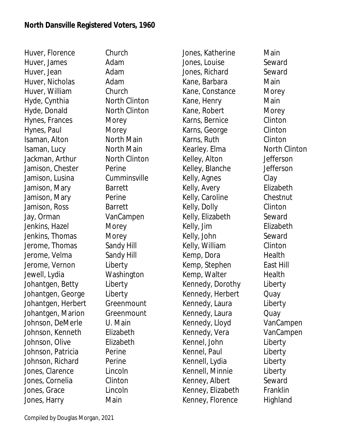Huver, Florence Church Huver, James **Adam** Huver, Jean **Adam** Huver, Nicholas **Adam** Huver, William Church Hyde, Cynthia North Clinton Hyde, Donald North Clinton Hynes, Frances Morey Hynes, Paul Morey Isaman, Alton North Main Isaman, Lucy North Main Jackman, Arthur North Clinton Jamison, Chester Perine Jamison, Lusina Cumminsville Jamison, Mary Barrett Jamison, Mary Perine Jamison, Ross Barrett Jay, Orman VanCampen Jenkins, Hazel Morey Jenkins, Thomas Morey Jerome, Thomas Sandy Hill Jerome, Velma Sandy Hill Jerome, Vernon Liberty Jewell, Lydia Washington Johantgen, Betty Liberty Johantgen, George Liberty Johantgen, Herbert Greenmount Johantgen, Marion Greenmount Johnson, DeMerle U. Main Johnson, Kenneth Elizabeth Johnson, Olive Elizabeth Johnson, Patricia Perine Johnson, Richard Perine Jones, Clarence Lincoln Jones, Cornelia Clinton Jones, Grace Lincoln Jones, Harry Main

Jones, Katherine Main Jones, Louise Seward Jones, Richard Seward Kane, Barbara Main Kane, Constance Morey Kane, Henry **Main** Kane, Robert Morey Karns, Bernice Clinton Karns, George Clinton Karns, Ruth Clinton Kearley. Elma North Clinton Kelley, Alton Jefferson Kelley, Blanche Jefferson Kelly, Agnes Clay Kelly, Avery Elizabeth Kelly, Caroline Chestnut Kelly, Dolly Clinton Kelly, Elizabeth Seward Kelly, Jim Elizabeth Kelly, John Seward Kelly, William Clinton Kemp, Dora Health Kemp, Stephen East Hill Kemp, Walter **Health** Kennedy, Dorothy Liberty Kennedy, Herbert Quay Kennedy, Laura Liberty Kennedy, Laura **Quay** Kennedy, Lloyd VanCampen Kennedy, Vera VanCampen Kennel, John Liberty Kennel, Paul **Liberty** Kennell, Lydia Liberty Kennell, Minnie Liberty Kenney, Albert Seward Kenney, Elizabeth Franklin Kenney, Florence Highland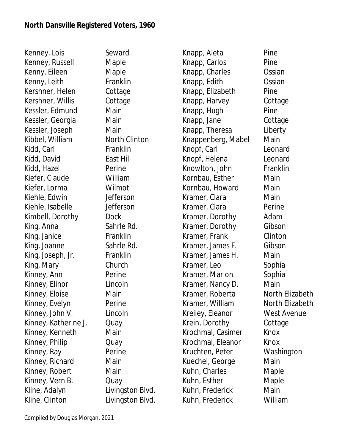Kenney, Lois Seward Kenney, Russell Maple Kenny, Eileen Maple Kenny, Leith Franklin Kershner, Helen Cottage Kershner, Willis Cottage Kessler, Edmund Main Kessler, Georgia Main Kessler, Joseph Main Kibbel, William North Clinton Kidd, Carl Franklin Kidd, David **East Hill** Kidd, Hazel Perine Kiefer, Claude William Kiefer, Lorma Wilmot Kiehle, Edwin Jefferson Kiehle, Isabelle Jefferson Kimbell, Dorothy Dock King, Anna Sahrle Rd. King, Janice **Franklin** King, Joanne Sahrle Rd. King, Joseph, Jr. Franklin King, Mary Church Kinney, Ann Perine Kinney, Elinor Lincoln Kinney, Eloise Main Kinney, Evelyn Perine Kinney, John V. Lincoln Kinney, Katherine J. Quay Kinney, Kenneth Main Kinney, Philip **Quay** Kinney, Ray Perine Kinney, Richard Main Kinney, Robert Main Kinney, Vern B. Cuay Kline, Adalyn Livingston Blvd. Kline, Clinton Livingston Blvd.

Knapp, Aleta Pine Knapp, Carlos Pine Knapp, Charles Ossian Knapp, Edith Ossian Knapp, Elizabeth Pine Knapp, Harvey Cottage Knapp, Hugh Pine Knapp, Jane Cottage Knapp, Theresa Liberty Knappenberg, Mabel Main Knopf, Carl Leonard Knopf, Helena Leonard Knowlton, John Franklin Kornbau, Esther Main Kornbau, Howard Main Kramer, Clara **Main** Kramer, Clara **Perine** Kramer, Dorothy Adam Kramer, Dorothy Gibson Kramer, Frank Clinton Kramer, James F. Gibson Kramer, James H. Main Kramer, Leo Sophia Kramer, Marion Sophia Kramer, Nancy D. Main Kramer, Roberta North Elizabeth Kramer, William North Elizabeth Kreiley, Eleanor West Avenue Krein, Dorothy Cottage Krochmal, Casimer Knox Krochmal, Eleanor Knox Kruchten, Peter Washington Kuechel, George Main Kuhn, Charles **Maple** Kuhn, Esther Maple Kuhn, Frederick Main Kuhn, Frederick William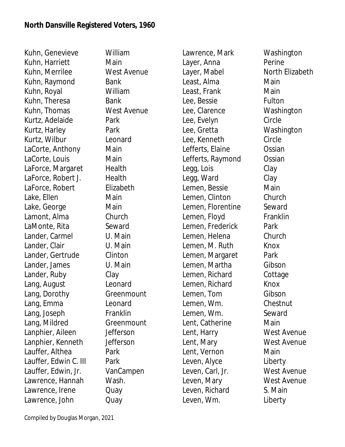Kuhn, Genevieve William Kuhn, Harriett Main Kuhn, Merrilee West Avenue Kuhn, Raymond Bank Kuhn, Royal William Kuhn, Theresa Bank Kuhn, Thomas West Avenue Kurtz, Adelaide Park Kurtz, Harley Park Kurtz, Wilbur Leonard LaCorte, Anthony Main LaCorte, Louis Main LaForce, Margaret Health LaForce, Robert J. Health LaForce, Robert Elizabeth Lake, Ellen Main Lake, George **Main** Lamont, Alma Church LaMonte, Rita Seward Lander, Carmel **U. Main** Lander, Clair U. Main Lander, Gertrude Clinton Lander, James U. Main Lander, Ruby Clay Lang, August Leonard Lang, Dorothy Greenmount Lang, Emma Leonard Lang, Joseph Franklin Lang, Mildred Greenmount Lanphier, Aileen Jefferson Lanphier, Kenneth Jefferson Lauffer, Althea Park Lauffer, Edwin C. III Park Lauffer, Edwin, Jr. VanCampen Lawrence, Hannah Wash. Lawrence, Irene **Quay** Lawrence, John Quay

Lawrence, Mark Washington Layer, Anna Perine Layer, Mabel North Elizabeth Least, Alma Main Least, Frank Main Lee, Bessie Fulton Lee, Clarence Washington Lee, Evelyn Circle Lee, Gretta Washington Lee, Kenneth Circle Lefferts, Elaine **Ossian** Lefferts, Raymond Ossian Legg, Lois Clay Legg, Ward Clay Lemen, Bessie Main Lemen, Clinton Church Lemen, Florentine Seward Lemen, Floyd Franklin Lemen, Frederick Park Lemen, Helena Church Lemen, M. Ruth Knox Lemen, Margaret Park Lemen, Martha Gibson Lemen, Richard Cottage Lemen, Richard Knox Lemen, Tom Gibson Lemen, Wm. Chestnut Lemen, Wm. Seward Lent, Catherine **Main** Lent, Harry West Avenue Lent, Mary West Avenue Lent, Vernon Main Leven, Alyce Liberty Leven, Carl, Jr. West Avenue Leven, Mary West Avenue Leven, Richard S. Main Leven, Wm. Liberty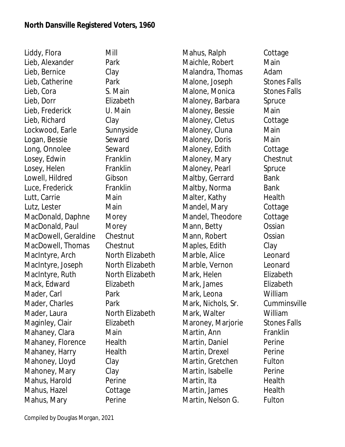Liddy, Flora Mill Lieb, Alexander Park Lieb, Bernice Clay Lieb, Catherine Park Lieb, Cora S. Main Lieb, Dorr Elizabeth Lieb, Frederick U. Main Lieb, Richard Clay Lockwood, Earle Sunnyside Logan, Bessie Seward Long, Onnolee Seward Losey, Edwin Franklin Losey, Helen Franklin Lowell, Hildred Gibson Luce, Frederick Franklin Lutt, Carrie **Main** Lutz, Lester Main MacDonald, Daphne Morey MacDonald, Paul Morey MacDowell, Geraldine Chestnut MacDowell, Thomas Chestnut MacIntyre, Arch North Elizabeth MacIntyre, Joseph North Elizabeth MacIntyre, Ruth North Elizabeth Mack, Edward **Elizabeth** Mader, Carl **Park** Mader, Charles Park Mader, Laura North Elizabeth Maginley, Clair **Elizabeth** Mahaney, Clara Main Mahaney, Florence Health Mahaney, Harry Health Mahoney, Lloyd Clay Mahoney, Mary Clay Mahus, Harold Perine Mahus, Hazel Cottage Mahus, Mary **Perine** 

Mahus, Ralph Cottage Maichle, Robert Main Malandra, Thomas Adam Malone, Joseph Stones Falls Malone, Monica Stones Falls Maloney, Barbara Spruce Maloney, Bessie Main Maloney, Cletus Cottage Maloney, Cluna Main Maloney, Doris Main Maloney, Edith Cottage Maloney, Mary Chestnut Maloney, Pearl Spruce Maltby, Gerrard Bank Maltby, Norma Bank Malter, Kathy **Health** Mandel, Mary Cottage Mandel, Theodore Cottage Mann, Betty **Constanding Constanding Constanding Constanding Constanding Constanding Constanding Constanding Constanding Constanding Constanding Constanding Constanding Constanding Constanding Constanding Constanding Const** Mann, Robert **Constan** Maples, Edith Clay Marble, Alice Leonard Marble, Vernon Leonard Mark, Helen **Elizabeth** Mark, James Elizabeth Mark, Leona William Mark, Nichols, Sr. Cumminsville Mark, Walter William Maroney, Marjorie Stones Falls Martin, Ann Franklin Martin, Daniel **Perine** Martin, Drexel Perine Martin, Gretchen Fulton Martin, Isabelle Perine Martin, Ita **Health** Martin, James Health Martin, Nelson G. Fulton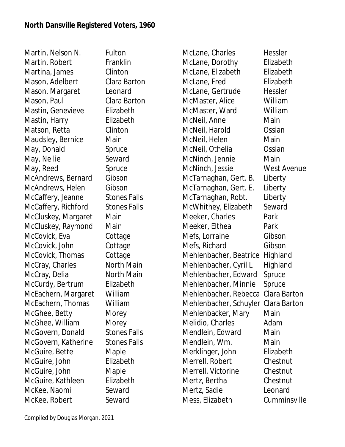Martin, Nelson N. Fulton Martin, Robert Franklin Martina, James Clinton Mason, Adelbert Clara Barton Mason, Margaret Leonard Mason, Paul Clara Barton Mastin, Genevieve Elizabeth Mastin, Harry **Elizabeth** Matson, Retta Clinton Maudsley, Bernice Main May, Donald Spruce May, Nellie Seward May, Reed Spruce McAndrews, Bernard Gibson McAndrews, Helen Gibson McCaffery, Jeanne Stones Falls McCaffery, Richford Stones Falls McCluskey, Margaret Main McCluskey, Raymond Main McCovick, Eva Cottage McCovick, John Cottage McCovick, Thomas Cottage McCray, Charles North Main McCray, Delia North Main McCurdy, Bertrum Elizabeth McEachern, Margaret William McEachern, Thomas William McGhee, Betty Morey McGhee, William Morey McGovern, Donald Stones Falls McGovern, Katherine Stones Falls McGuire, Bette Maple McGuire, John Elizabeth McGuire, John Maple McGuire, Kathleen Elizabeth McKee, Naomi Seward McKee, Robert Seward

McLane, Charles Hessler McLane, Dorothy Elizabeth McLane, Elizabeth Elizabeth McLane, Fred Elizabeth McLane, Gertrude Hessler McMaster, Alice William McMaster, Ward William McNeil, Anne Main McNeil, Harold **Canada Constan** McNeil, Helen Main McNeil, Othelia **Cassian** McNinch, Jennie Main McNinch, Jessie West Avenue McTarnaghan, Gert. B. Liberty McTarnaghan, Gert. E. Liberty McTarnaghan, Robt. Liberty McWhithey, Elizabeth Seward Meeker, Charles **Park** Meeker, Elthea **Park** Mefs, Lorraine Gibson Mefs, Richard Gibson Mehlenbacher, Beatrice Highland Mehlenbacher, Cyril L Highland Mehlenbacher, Edward Spruce Mehlenbacher, Minnie Spruce Mehlenbacher, Rebecca Clara Barton Mehlenbacher, Schuyler Clara Barton Mehlenbacker, Mary Main Melidio, Charles **Adam** Mendlein, Edward Main Mendlein, Wm. Main Merklinger, John Elizabeth Merrell, Robert Chestnut Merrell, Victorine Chestnut Mertz, Bertha Chestnut Mertz, Sadie Leonard Mess, Elizabeth Cumminsville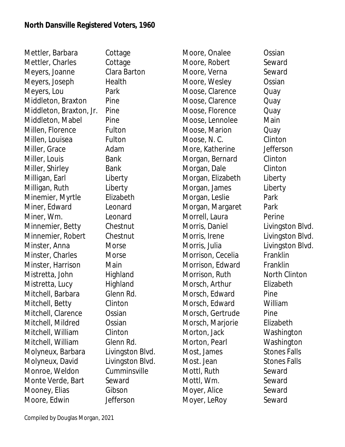Mettler, Barbara Cottage Mettler, Charles Cottage Meyers, Joanne Clara Barton Meyers, Joseph Health Meyers, Lou Park Middleton, Braxton Pine Middleton, Braxton, Jr. Pine Middleton, Mabel Pine Millen, Florence Fulton Millen, Louisea **Fulton** Miller, Grace Adam Miller, Louis Bank Miller, Shirley Bank Milligan, Earl Liberty Milligan, Ruth Liberty Minemier, Myrtle Elizabeth Miner, Edward Leonard Miner, Wm. Leonard Minnemier, Betty Chestnut Minnemier, Robert Chestnut Minster, Anna Morse Minster, Charles Morse Minster, Harrison Main Mistretta, John Highland Mistretta, Lucy Highland Mitchell, Barbara Glenn Rd. Mitchell, Betty Clinton Mitchell, Clarence Ossian Mitchell, Mildred **Ossian** Mitchell, William Clinton Mitchell, William Glenn Rd. Molyneux, Barbara Livingston Blvd. Molyneux, David Livingston Blvd. Monroe, Weldon Cumminsville Monte Verde, Bart Seward Mooney, Elias Gibson Moore, Edwin Jefferson

Moore, Onalee **Canada Constan** Moore, Robert Seward Moore, Verna Seward Moore, Wesley **Constan** Moose, Clarence Cuay Moose, Clarence Cuay Moose, Florence Quay Moose, Lennolee Main Moose, Marion Cuay Moose, N. C. Clinton More, Katherine **Jefferson** Morgan, Bernard Clinton Morgan, Dale Clinton Morgan, Elizabeth Liberty Morgan, James Liberty Morgan, Leslie Park Morgan, Margaret Park Morrell, Laura **Perine** Morris, Daniel **Livingston Blvd.** Morris, Irene Livingston Blvd. Morris, Julia Livingston Blvd. Morrison, Cecelia Franklin Morrison, Edward Franklin Morrison, Ruth North Clinton Morsch, Arthur Elizabeth Morsch, Edward Pine Morsch, Edward William Morsch, Gertrude Pine Morsch, Marjorie Elizabeth Morton, Jack Washington Morton, Pearl Washington Most, James Stones Falls Most. Jean Stones Falls Mottl, Ruth Seward Mottl, Wm. Seward Moyer, Alice Seward Moyer, LeRoy Seward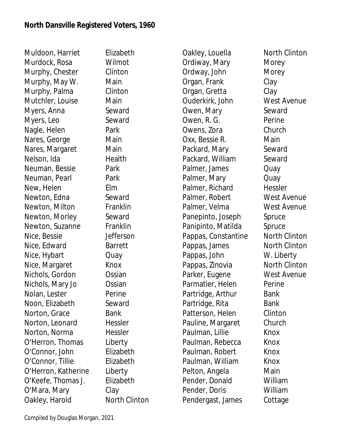Muldoon, Harriet Elizabeth Murdock, Rosa Wilmot Murphy, Chester Clinton Murphy, May W. Main Murphy, Palma Clinton Mutchler, Louise Main Myers, Anna Seward Myers, Leo Seward Nagle, Helen Park Nares, George Main Nares, Margaret Main Nelson, Ida Health Neuman, Bessie Park Neuman, Pearl Park New, Helen Elm Newton, Edna Seward Newton, Milton Franklin Newton, Morley Seward Newton, Suzanne Franklin Nice, Bessie Jefferson Nice, Edward Barrett Nice, Hybart Quay Nice, Margaret Knox Nichols, Gordon Ossian Nichols, Mary Jo Ossian Nolan, Lester Perine Noon, Elizabeth Seward Norton, Grace Bank Norton, Leonard Hessler Norton, Norma Hessler O'Herron, Thomas Liberty O'Connor, John Elizabeth O'Connor, Tillie Elizabeth O'Herron, Katherine Liberty O'Keefe, Thomas J. Elizabeth O'Mara, Mary Clay Oakley, Harold North Clinton

Oakley, Louella North Clinton Ordiway, Mary Morey Ordway, John Morey Organ, Frank Clay Organ, Gretta Clay Ouderkirk, John West Avenue Owen, Mary Seward Owen, R. G. Perine Owens, Zora Church Oxx, Bessie R. Main Packard, Mary Seward Packard, William Seward Palmer, James Quay Palmer, Mary **Quay** Palmer, Richard Hessler Palmer, Robert West Avenue Palmer, Velma West Avenue Panepinto, Joseph Spruce Panipinto, Matilda Spruce Pappas, Constantine North Clinton Pappas, James North Clinton Pappas, John W. Liberty Pappas, Zinovia North Clinton Parker, Eugene West Avenue Parmatier, Helen Perine Partridge, Arthur Bank Partridge, Rita Bank Patterson, Helen Clinton Pauline, Margaret Church Paulman, Lillie Knox Paulman, Rebecca Knox Paulman, Robert Knox Paulman, William Knox Pelton, Angela **Main** Pender, Donald William Pender, Doris William Pendergast, James Cottage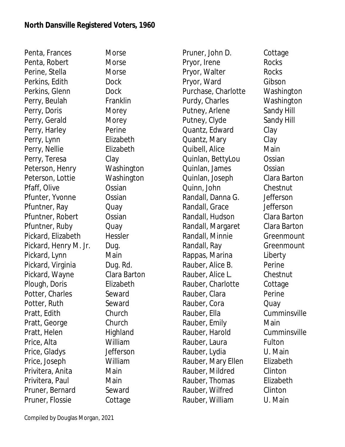Penta, Frances Morse Penta, Robert Morse Perine, Stella Morse Perkins, Edith Dock Perkins, Glenn Dock Perry, Beulah Franklin Perry, Doris Morey Perry, Gerald Morey Perry, Harley Perine Perry, Lynn Elizabeth Perry, Nellie Elizabeth Perry, Teresa Clay Peterson, Henry Washington Peterson, Lottie Washington Pfaff, Olive **Ossian** Pfunter, Yvonne Ossian Pfuntner, Ray **Quay** Pfuntner, Robert Ossian Pfuntner, Ruby **Quay** Pickard, Elizabeth Hessler Pickard, Henry M. Jr. Dug. Pickard, Lynn Main Pickard, Virginia Dug. Rd. Pickard, Wayne Clara Barton Plough, Doris Elizabeth Potter, Charles Seward Potter, Ruth Seward Pratt, Edith Church Pratt, George Church Pratt, Helen Highland Price, Alta William Price, Gladys Jefferson Price, Joseph William Privitera, Anita **Main** Privitera, Paul Main Pruner, Bernard Seward Pruner, Flossie Cottage

Pruner, John D. Cottage Pryor, Irene Rocks Pryor, Walter Rocks Pryor, Ward Gibson Purchase, Charlotte Washington Purdy, Charles Washington Putney, Arlene Sandy Hill Putney, Clyde Sandy Hill Quantz, Edward Clay Quantz, Mary Clay Quibell, Alice Main Quinlan, BettyLou Ossian Quinlan, James Ossian Quinlan, Joseph Clara Barton Quinn, John Chestnut Randall, Danna G. Jefferson Randall, Grace Jefferson Randall, Hudson Clara Barton Randall, Margaret Clara Barton Randall, Minnie Greenmount Randall, Ray Greenmount Rappas, Marina Liberty Rauber, Alice B. Perine Rauber, Alice L. Chestnut Rauber, Charlotte Cottage Rauber, Clara Perine Rauber, Cora **Quay** Rauber, Ella Cumminsville Rauber, Emily Main Rauber, Harold Cumminsville Rauber, Laura Fulton Rauber, Lydia U. Main Rauber, Mary Ellen Elizabeth Rauber, Mildred Clinton Rauber, Thomas Elizabeth Rauber, Wilfred Clinton Rauber, William U. Main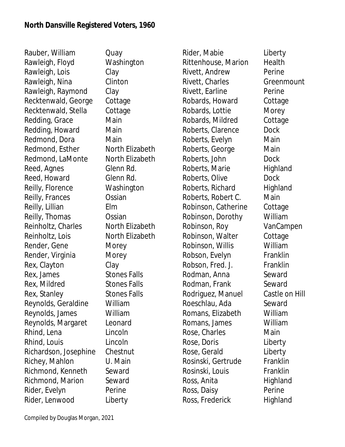Rauber, William Quay Rawleigh, Floyd Washington Rawleigh, Lois Clay Rawleigh, Nina Clinton Rawleigh, Raymond Clay Recktenwald, George Cottage Recktenwald, Stella Cottage Redding, Grace Main Redding, Howard Main Redmond, Dora Main Redmond, Esther North Elizabeth Redmond, LaMonte North Elizabeth Reed, Agnes Glenn Rd. Reed, Howard Glenn Rd. Reilly, Florence Washington Reilly, Frances **Ossian** Reilly, Lillian Elm Reilly, Thomas **Ossian** Reinholtz, Charles **North Elizabeth** Reinholtz, Lois North Elizabeth Render, Gene Morey Render, Virginia Morey Rex, Clayton Clay Rex, James Stones Falls Rex, Mildred Stones Falls Rex, Stanley Stones Falls Reynolds, Geraldine William Reynolds, James William Reynolds, Margaret Leonard Rhind, Lena Lincoln Rhind, Louis Lincoln Richardson, Josephine Chestnut Richey, Mahlon U. Main Richmond, Kenneth Seward Richmond, Marion Seward Rider, Evelyn Perine Rider, Lenwood Liberty

Rider, Mabie **Liberty** Rittenhouse, Marion Health Rivett, Andrew Perine Rivett, Charles Greenmount Rivett, Earline **Perine** Robards, Howard Cottage Robards, Lottie Morey Robards, Mildred Cottage Roberts, Clarence Dock Roberts, Evelyn Main Roberts, George Main Roberts, John Dock Roberts, Marie **Highland** Roberts, Olive **Dock** Roberts, Richard Highland Roberts, Robert C. Main Robinson, Catherine Cottage Robinson, Dorothy William Robinson, Roy VanCampen Robinson, Walter Cottage Robinson, Willis William Robson, Evelyn Franklin Robson, Fred. J. Franklin Rodman, Anna Seward Rodman, Frank Seward Rodriguez, Manuel Castle on Hill Roeschlau, Ada Seward Romans, Elizabeth William Romans, James William Rose, Charles **Main** Rose, Doris **Liberty** Rose, Gerald Liberty Rosinski, Gertrude Franklin Rosinski, Louis Franklin Ross, Anita Highland Ross, Daisy **Perine** Ross, Frederick Highland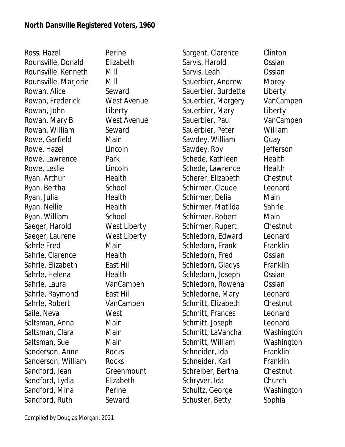Ross, Hazel Perine Rounsville, Donald Elizabeth Rounsville, Kenneth Mill Rounsville, Marjorie Mill Rowan, Alice Seward Rowan, Frederick West Avenue Rowan, John Liberty Rowan, Mary B. West Avenue Rowan, William Seward Rowe, Garfield Main Rowe, Hazel **Lincoln** Rowe, Lawrence Park Rowe, Leslie Lincoln Ryan, Arthur Health Ryan, Bertha School Ryan, Julia Health Ryan, Nellie Health Ryan, William School Saeger, Harold West Liberty Saeger, Laurene West Liberty Sahrle Fred Main Sahrle, Clarence Health Sahrle, Elizabeth East Hill Sahrle, Helena **Health** Sahrle, Laura VanCampen Sahrle, Raymond East Hill Sahrle, Robert VanCampen Saile, Neva<br>
West Saltsman, Anna **Main** Saltsman, Clara **Main** Saltsman, Sue Main Sanderson, Anne Rocks Sanderson, William Rocks Sandford, Jean Greenmount Sandford, Lydia Elizabeth Sandford, Mina Perine Sandford, Ruth Seward

Sargent, Clarence Clinton Sarvis, Harold Ossian Sarvis, Leah Ossian Sauerbier, Andrew Morey Sauerbier, Burdette Liberty Sauerbier, Margery VanCampen Sauerbier, Mary Liberty Sauerbier, Paul VanCampen Sauerbier, Peter William Sawdey, William Quay Sawdey, Roy Jefferson Schede, Kathleen Health Schede, Lawrence Health Scherer, Elizabeth Chestnut Schirmer, Claude Leonard Schirmer, Delia Main Schirmer, Matilda Sahrle Schirmer, Robert Main Schirmer, Rupert Chestnut Schledorn, Edward Leonard Schledorn, Frank Franklin Schledorn, Fred Ossian Schledorn, Gladys Franklin Schledorn, Joseph Ossian Schledorn, Rowena **Ossian** Schledorne, Mary Leonard Schmitt, Elizabeth Chestnut Schmitt, Frances Leonard Schmitt, Joseph Leonard Schmitt, LaVancha Washington Schmitt, William Washington Schneider, Ida Franklin Schneider, Karl Franklin Schreiber, Bertha Chestnut Schryver, Ida Church Schultz, George Washington Schuster, Betty Sophia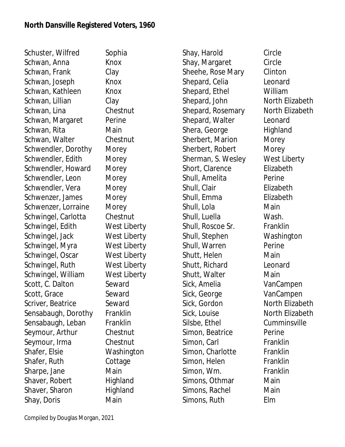Schuster, Wilfred Sophia Schwan, Anna Knox Schwan, Frank Clay Schwan, Joseph Knox Schwan, Kathleen Knox Schwan, Lillian Clay Schwan, Lina Chestnut Schwan, Margaret Perine Schwan, Rita **Main** Schwan, Walter Chestnut Schwendler, Dorothy Morey Schwendler, Edith Morey Schwendler, Howard Morey Schwendler, Leon Morey Schwendler, Vera Morey Schwenzer, James Morey Schwenzer, Lorraine Morey Schwingel, Carlotta Chestnut Schwingel, Edith West Liberty Schwingel, Jack West Liberty Schwingel, Myra West Liberty Schwingel, Oscar West Liberty Schwingel, Ruth West Liberty Schwingel, William West Liberty Scott, C. Dalton Seward Scott, Grace Seward Scriver, Beatrice Seward Sensabaugh, Dorothy Franklin Sensabaugh, Leban Franklin Seymour, Arthur Chestnut Seymour, Irma Chestnut Shafer, Elsie Washington Shafer, Ruth Cottage Sharpe, Jane Main Shaver, Robert Highland Shaver, Sharon Highland Shay, Doris Main

Shay, Harold Circle Shay, Margaret Circle Sheehe, Rose Mary Clinton Shepard, Celia Leonard Shepard, Ethel William Shepard, John North Elizabeth Shepard, Rosemary North Elizabeth Shepard, Walter Leonard Shera, George Highland Sherbert, Marion Morey Sherbert, Robert Morey Sherman, S. Wesley West Liberty Short, Clarence **Elizabeth** Shull, Amelita **Perine** Shull, Clair **Elizabeth** Shull, Emma Elizabeth Shull, Lola **Main** Shull, Luella Wash. Shull, Roscoe Sr. Franklin Shull, Stephen Washington Shull, Warren Perine Shutt, Helen Main Shutt, Richard Leonard Shutt, Walter **Main** Sick, Amelia VanCampen Sick, George VanCampen Sick, Gordon North Elizabeth Sick, Louise **North Elizabeth** Silsbe, Ethel Cumminsville Simon, Beatrice **Perine** Simon, Carl Franklin Simon, Charlotte Franklin Simon, Helen Franklin Simon, Wm. Franklin Simons, Othmar Main Simons, Rachel Main Simons, Ruth Elm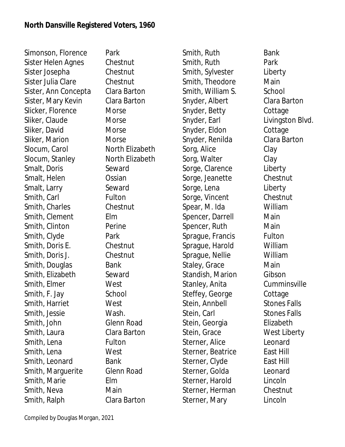Simonson, Florence Park Sister Helen Agnes Chestnut Sister Josepha Chestnut Sister Julia Clare Chestnut Sister, Ann Concepta Clara Barton Sister, Mary Kevin Clara Barton Slicker, Florence Morse Sliker, Claude Morse Sliker, David Morse Sliker, Marion Morse Slocum, Carol **North Elizabeth** Slocum, Stanley North Elizabeth Smalt, Doris Seward Smalt, Helen **Ossian** Smalt, Larry Seward Smith, Carl Fulton Smith, Charles Chestnut Smith, Clement Elm Smith, Clinton Perine Smith, Clyde Park Smith, Doris E. Chestnut Smith, Doris J. Chestnut Smith, Douglas Bank Smith, Elizabeth Seward Smith, Elmer West Smith, F. Jay School Smith, Harriet West Smith, Jessie Wash. Smith, John Glenn Road Smith, Laura Clara Barton Smith, Lena Fulton Smith, Lena West Smith, Leonard Bank Smith, Marquerite Glenn Road Smith, Marie Elm Smith, Neva **Main** Smith, Ralph Clara Barton

Smith, Ruth Bank Smith, Ruth Park Smith, Sylvester Liberty Smith, Theodore Main Smith, William S. School Snyder, Albert Clara Barton Snyder, Betty Cottage Snyder, Earl **Livingston Blvd.** Snyder, Eldon Cottage Snyder, Renilda Clara Barton Sorg, Alice Clay Sorg, Walter Clay Sorge, Clarence Liberty Sorge, Jeanette Chestnut Sorge, Lena Liberty Sorge, Vincent Chestnut Spear, M. Ida William Spencer, Darrell Main Spencer, Ruth Main Sprague, Francis Fulton Sprague, Harold William Sprague, Nellie William Staley, Grace Main Standish, Marion Gibson Stanley, Anita Cumminsville Steffey, George Cottage Stein, Annbell Stones Falls Stein, Carl Stones Falls Stein, Georgia **Elizabeth** Stein, Grace West Liberty Sterner, Alice Leonard Sterner, Beatrice East Hill Sterner, Clyde East Hill Sterner, Golda Leonard Sterner, Harold Lincoln Sterner, Herman Chestnut Sterner, Mary Lincoln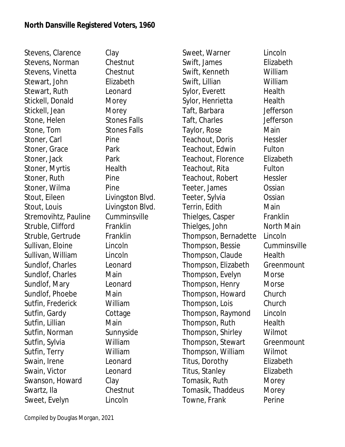Stevens, Clarence Clay Stevens, Norman Chestnut Stevens, Vinetta Chestnut Stewart, John Elizabeth Stewart, Ruth Leonard Stickell, Donald Morey Stickell, Jean Morey Stone, Helen Stones Falls Stone, Tom Stones Falls Stoner, Carl Pine Stoner, Grace Park Stoner, Jack **Park** Stoner, Myrtis Health Stoner, Ruth Pine Stoner, Wilma Pine Stout, Eileen Livingston Blvd. Stout, Louis **Livingston Blvd.** Stremovihtz, Pauline Cumminsville Struble, Clifford Franklin Struble, Gertrude Franklin Sullivan, Eloine Lincoln Sullivan, William Lincoln Sundlof, Charles Leonard Sundlof, Charles Main Sundlof, Mary Leonard Sundlof, Phoebe Main Sutfin, Frederick William Sutfin, Gardy Cottage Sutfin, Lillian Main Sutfin, Norman Sunnyside Sutfin, Sylvia William Sutfin, Terry William Swain, Irene Leonard Swain, Victor Leonard Swanson, Howard Clay Swartz, Ila Chestnut Sweet, Evelyn Lincoln

Sweet, Warner Lincoln Swift, James Elizabeth Swift, Kenneth William Swift, Lillian William Sylor, Everett Health Sylor, Henrietta Health Taft, Barbara Jefferson Taft, Charles Jefferson Taylor, Rose Main Teachout, Doris Hessler Teachout, Edwin Fulton Teachout, Florence Elizabeth Teachout, Rita Fulton Teachout, Robert Hessler Teeter, James **Ossian** Teeter, Sylvia Ossian Terrin, Edith Main Thielges, Casper Franklin Thielges, John North Main Thompson, Bernadette Lincoln Thompson, Bessie Cumminsville Thompson, Claude Health Thompson, Elizabeth Greenmount Thompson, Evelyn Morse Thompson, Henry Morse Thompson, Howard Church Thompson, Lois Church Thompson, Raymond Lincoln Thompson, Ruth Health Thompson, Shirley Wilmot Thompson, Stewart Greenmount Thompson, William Wilmot Titus, Dorothy Elizabeth Titus, Stanley Elizabeth Tomasik, Ruth Morey Tomasik, Thaddeus Morey Towne, Frank Perine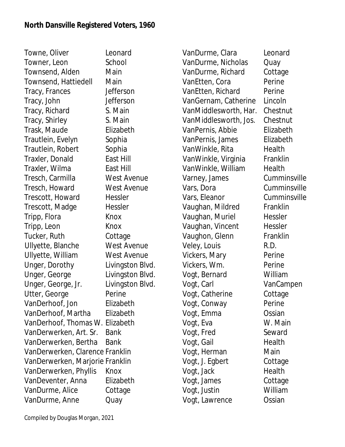Towne, Oliver Leonard Towner, Leon School Townsend, Alden Main Townsend, Hattiedell Main Tracy, Frances Jefferson Tracy, John Jefferson Tracy, Richard S. Main Tracy, Shirley S. Main Trask, Maude Elizabeth Trautlein, Evelyn Sophia Trautlein, Robert Sophia Traxler, Donald East Hill Traxler, Wilma East Hill Tresch, Carmilla West Avenue Tresch, Howard West Avenue Trescott, Howard Hessler Trescott, Madge Hessler Tripp, Flora Knox Tripp, Leon Knox Tucker, Ruth Cottage Ullyette, Blanche West Avenue Ullyette, William West Avenue Unger, Dorothy Livingston Blvd. Unger, George Livingston Blvd. Unger, George, Jr. Livingston Blvd. Utter, George Perine VanDerhoof, Jon Elizabeth VanDerhoof, Martha Elizabeth VanDerhoof, Thomas W. Elizabeth VanDerwerken, Art. Sr. Bank VanDerwerken, Bertha Bank VanDerwerken, Clarence Franklin VanDerwerken, Marjorie Franklin VanDerwerken, Phyllis Knox VanDeventer, Anna Elizabeth VanDurme, Alice Cottage VanDurme, Anne Quay

VanDurme, Clara Leonard VanDurme, Nicholas Quay VanDurme, Richard Cottage VanEtten, Cora Perine VanEtten, Richard Perine VanGernam, Catherine Lincoln VanMiddlesworth, Har. Chestnut VanMiddlesworth, Jos. Chestnut VanPernis, Abbie Elizabeth VanPernis, James Elizabeth VanWinkle, Rita Health VanWinkle, Virginia Franklin VanWinkle, William Health Varney, James Cumminsville Vars, Dora Cumminsville Vars, Eleanor Cumminsville Vaughan, Mildred Franklin Vaughan, Muriel Hessler Vaughan, Vincent Hessler Vaughon, Glenn Franklin Veley, Louis R.D. Vickers, Mary Perine Vickers, Wm. Perine Vogt, Bernard William Vogt, Carl VanCampen Vogt, Catherine Cottage Vogt, Conway Perine Vogt, Emma Ossian Vogt, Eva W. Main Vogt, Fred Seward Vogt, Gail **Health** Vogt, Herman Main Vogt, J. Egbert Cottage Vogt, Jack Health Vogt, James Cottage Vogt, Justin William Vogt, Lawrence Ossian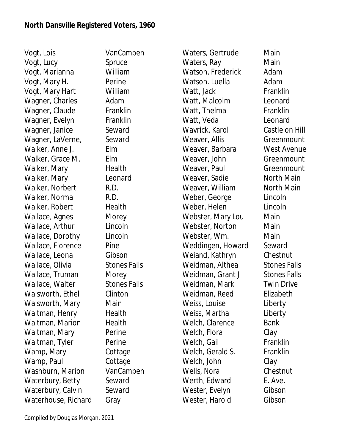Vogt, Lois VanCampen Vogt, Lucy Spruce Vogt, Marianna William Vogt, Mary H. Perine Vogt, Mary Hart William Wagner, Charles Adam Wagner, Claude Franklin Wagner, Evelyn Franklin Wagner, Janice Seward Wagner, LaVerne, Seward Walker, Anne J. Elm Walker, Grace M. Elm Walker, Mary **Health** Walker, Mary **Leonard** Walker, Norbert R.D. Walker, Norma R.D. Walker, Robert Health Wallace, Agnes Morey Wallace, Arthur Lincoln Wallace, Dorothy Lincoln Wallace, Florence Pine Wallace, Leona Gibson Wallace, Olivia Stones Falls Wallace, Truman Morey Wallace, Walter Stones Falls Walsworth, Ethel Clinton Walsworth, Mary Main Waltman, Henry Health Waltman, Marion Health Waltman, Mary Perine Waltman, Tyler Perine Wamp, Mary Cottage Wamp, Paul **Cottage** Washburn, Marion VanCampen Waterbury, Betty Seward Waterbury, Calvin Seward Waterhouse, Richard Gray

Waters, Gertrude Main Waters, Ray Main Watson, Frederick Adam Watson. Luella **Adam** Watt, Jack Franklin Watt, Malcolm Leonard Watt, Thelma Franklin Watt, Veda<br>
Leonard Wavrick, Karol Castle on Hill Weaver, Allis Greenmount Weaver, Barbara West Avenue Weaver, John Greenmount Weaver, Paul Greenmount Weaver, Sadie North Main Weaver, William North Main Weber, George Lincoln Weber, Helen Lincoln Webster, Mary Lou Main Webster, Norton Main Webster, Wm. Main Weddingen, Howard Seward Weiand, Kathryn Chestnut Weidman, Althea Stones Falls Weidman, Grant J Stones Falls Weidman, Mark Twin Drive Weidman, Reed Elizabeth Weiss, Louise **Liberty** Weiss, Martha **Liberty** Welch, Clarence Bank Welch, Flora Clay Welch, Gail Franklin Welch, Gerald S. Franklin Welch, John Clay Wells, Nora **Chestnut** Werth, Edward E. Ave. Wester, Evelyn Gibson Wester, Harold Gibson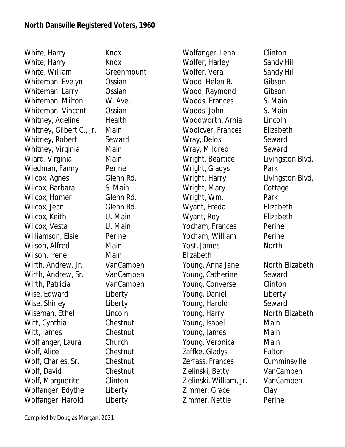White, Harry Knox White, Harry Knox White, William Greenmount Whiteman, Evelyn Ossian Whiteman, Larry **Constan** Whiteman, Milton W. Ave. Whiteman, Vincent Ossian Whitney, Adeline Health Whitney, Gilbert C., Jr. Main Whitney, Robert Seward Whitney, Virginia Main Wiard, Virginia Main Wiedman, Fanny Perine Wilcox, Agnes Glenn Rd. Wilcox, Barbara S. Main Wilcox, Homer Glenn Rd. Wilcox, Jean Glenn Rd. Wilcox, Keith U. Main Wilcox, Vesta **U. Main** Williamson, Elsie Perine Wilson, Alfred Main Wilson, Irene **Main** Wirth, Andrew, Jr. VanCampen Wirth, Andrew, Sr. VanCampen Wirth, Patricia **VanCampen** Wise, Edward Liberty Wise, Shirley **Liberty** Wiseman, Ethel Lincoln Witt, Cynthia Chestnut Witt, James Chestnut Wolf anger, Laura Church Wolf, Alice Chestnut Wolf, Charles, Sr. Chestnut Wolf, David Chestnut Wolf, Marguerite Clinton Wolfanger, Edythe Liberty Wolfanger, Harold Liberty

Wolfanger, Lena Clinton Wolfer, Harley Sandy Hill Wolfer, Vera Sandy Hill Wood, Helen B. Gibson Wood, Raymond Gibson Woods, Frances S. Main Woods, John S. Main Woodworth, Arnia Lincoln Woolcver, Frances Elizabeth Wray, Delos Seward Wray, Mildred Seward Wright, Beartice Livingston Blvd. Wright, Gladys Park Wright, Harry Livingston Blvd. Wright, Mary Cottage Wright, Wm. Park Wyant, Freda Elizabeth Wyant, Roy **Elizabeth** Yocham, Frances Perine Yocham, William Perine Yost, James North Elizabeth Young, Anna Jane North Elizabeth Young, Catherine Seward Young, Converse Clinton Young, Daniel **Liberty** Young, Harold Seward Young, Harry North Elizabeth Young, Isabel Main Young, James Main Young, Veronica Main Zaffke, Gladys Fulton Zerfass, Frances Cumminsville Zielinski, Betty VanCampen Zielinski, William, Jr. VanCampen Zimmer, Grace Clay Zimmer, Nettie Perine